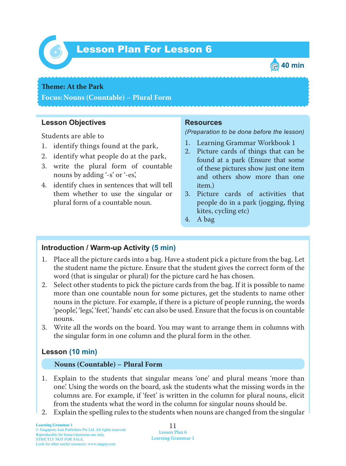

# *6* Lesson Plan For Lesson 6



#### **Theme: At the Park**

**Focus: Nouns (Countable) – Plural Form**

### **Lesson Objectives**

Students are able to

- 1. identify things found at the park,
- 2. identify what people do at the park,
- 3. write the plural form of countable nouns by adding '-s' or '-es',
- 4. identify clues in sentences that will tell them whether to use the singular or plural form of a countable noun.

### **Resources**

*(Preparation to be done before the lesson)*

- 1. Learning Grammar Workbook 1
- 2. Picture cards of things that can be found at a park (Ensure that some of these pictures show just one item and others show more than one item.)
- 3. Picture cards of activities that people do in a park (jogging, flying kites, cycling etc)
- 4. A bag

### **Introduction / Warm-up Activity (5 min)**

- 1. Place all the picture cards into a bag. Have a student pick a picture from the bag. Let the student name the picture. Ensure that the student gives the correct form of the word (that is singular or plural) for the picture card he has chosen.
- 2. Select other students to pick the picture cards from the bag. If it is possible to name more than one countable noun for some pictures, get the students to name other nouns in the picture. For example, if there is a picture of people running, the words 'people', 'legs', 'feet', 'hands' etc can also be used. Ensure that the focus is on countable nouns.
- 3. Write all the words on the board. You may want to arrange them in columns with the singular form in one column and the plural form in the other.

# **Lesson (10 min)**

#### **Nouns (Countable) – Plural Form**

- 1. Explain to the students that singular means 'one' and plural means 'more than one'. Using the words on the board, ask the students what the missing words in the columns are. For example, if 'feet' is written in the column for plural nouns, elicit from the students what the word in the column for singular nouns should be.
- 2. Explain the spelling rules to the students when nouns are changed from the singular

11 Lesson Plan 6 Learning Grammar 1